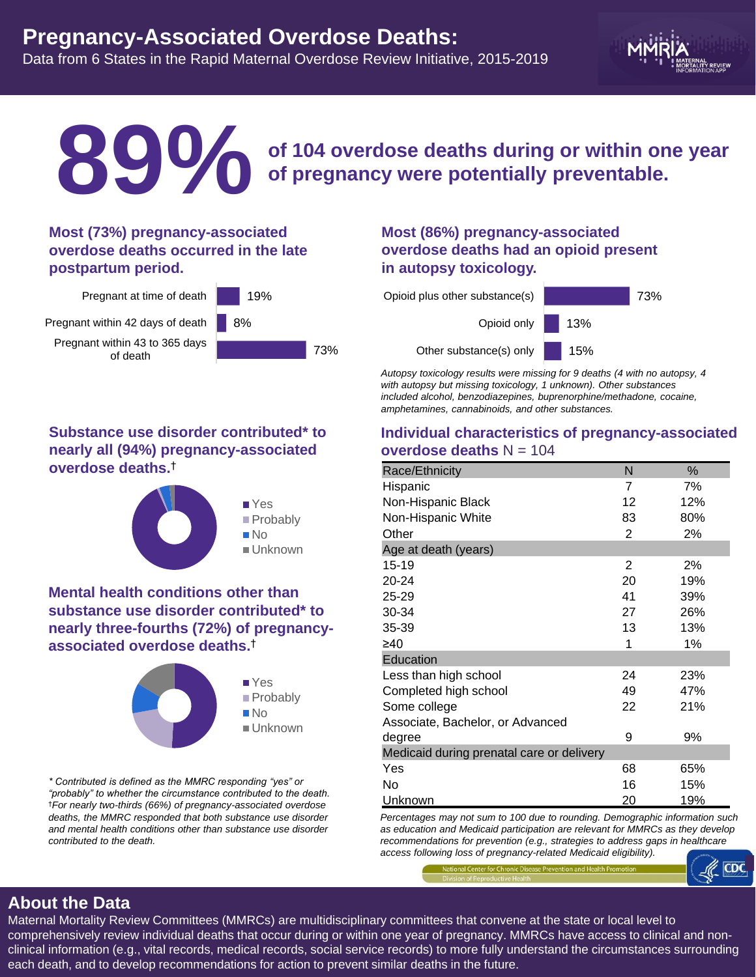# **Pregnancy-Associated Overdose Deaths:**  Data from 6 States in the Rapid Maternal Overdose Review Initiative, 2015-2019



# **of 104 overdose deaths during or within one year of pregnancy were potentially preventable.**

### **Most (73%) pregnancy-associated overdose deaths occurred in the late postpartum period.**

**89%**



## **Substance use disorder contributed\* to nearly all (94%) pregnancy-associated overdose deaths.**†



### **Mental health conditions other than substance use disorder contributed\* to nearly three-fourths (72%) of pregnancyassociated overdose deaths.**†



*\* Contributed is defined as the MMRC responding "yes" or "probably" to whether the circumstance contributed to the death.*  †*For nearly two-thirds (66%) of pregnancy-associated overdose deaths, the MMRC responded that both substance use disorder and mental health conditions other than substance use disorder contributed to the death.*

## **Most (86%) pregnancy-associated overdose deaths had an opioid present in autopsy toxicology.**



*Autopsy toxicology results were missing for 9 deaths (4 with no autopsy, 4 with autopsy but missing toxicology, 1 unknown). Other substances included alcohol, benzodiazepines, buprenorphine/methadone, cocaine, amphetamines, cannabinoids, and other substances.*

### **Individual characteristics of pregnancy-associated overdose deaths**  $N = 104$

| Race/Ethnicity                            | N  | %   |
|-------------------------------------------|----|-----|
| Hispanic                                  | 7  | 7%  |
| Non-Hispanic Black                        | 12 | 12% |
| Non-Hispanic White                        | 83 | 80% |
| Other                                     | 2  | 2%  |
| Age at death (years)                      |    |     |
| $15 - 19$                                 | 2  | 2%  |
| 20-24                                     | 20 | 19% |
| 25-29                                     | 41 | 39% |
| 30-34                                     | 27 | 26% |
| 35-39                                     | 13 | 13% |
| ≥40                                       | 1  | 1%  |
| Education                                 |    |     |
| Less than high school                     | 24 | 23% |
| Completed high school                     | 49 | 47% |
| Some college                              | 22 | 21% |
| Associate, Bachelor, or Advanced          |    |     |
| degree                                    | 9  | 9%  |
| Medicaid during prenatal care or delivery |    |     |
| Yes                                       | 68 | 65% |
| No                                        | 16 | 15% |
| Unknown                                   | 20 | 19% |

*Percentages may not sum to 100 due to rounding. Demographic information such as education and Medicaid participation are relevant for MMRCs as they develop recommendations for prevention (e.g., strategies to address gaps in healthcare access following loss of pregnancy-related Medicaid eligibility).* 



# **About the Data**

Maternal Mortality Review Committees (MMRCs) are multidisciplinary committees that convene at the state or local level to comprehensively review individual deaths that occur during or within one year of pregnancy. MMRCs have access to clinical and nonclinical information (e.g., vital records, medical records, social service records) to more fully understand the circumstances surrounding each death, and to develop recommendations for action to prevent similar deaths in the future.